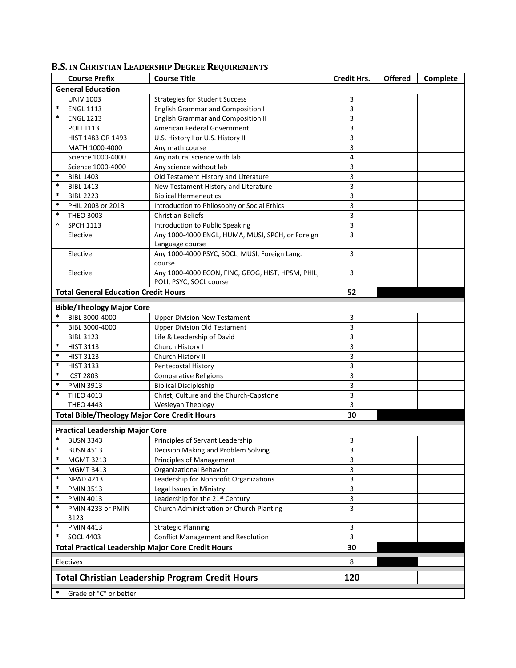|                                                               | <b>Course Prefix</b>                        | <b>Course Title</b>                               | <b>Credit Hrs.</b> | <b>Offered</b> | Complete |
|---------------------------------------------------------------|---------------------------------------------|---------------------------------------------------|--------------------|----------------|----------|
| <b>General Education</b>                                      |                                             |                                                   |                    |                |          |
|                                                               | <b>UNIV 1003</b>                            | <b>Strategies for Student Success</b>             | 3                  |                |          |
| $\ast$                                                        | <b>ENGL 1113</b>                            | <b>English Grammar and Composition I</b>          | 3                  |                |          |
| $\ast$                                                        | <b>ENGL 1213</b>                            | <b>English Grammar and Composition II</b>         | 3                  |                |          |
|                                                               | <b>POLI 1113</b>                            | American Federal Government                       | 3                  |                |          |
|                                                               | HIST 1483 OR 1493                           | U.S. History I or U.S. History II                 | 3                  |                |          |
|                                                               | MATH 1000-4000                              | Any math course                                   | 3                  |                |          |
|                                                               | Science 1000-4000                           | Any natural science with lab                      | 4                  |                |          |
|                                                               | Science 1000-4000                           | Any science without lab                           | 3                  |                |          |
| $\ast$                                                        | <b>BIBL 1403</b>                            | Old Testament History and Literature              | 3                  |                |          |
| $\ast$                                                        | <b>BIBL 1413</b>                            | New Testament History and Literature              | 3                  |                |          |
| $\ast$                                                        | <b>BIBL 2223</b>                            | <b>Biblical Hermeneutics</b>                      | 3                  |                |          |
| $\ast$                                                        | PHIL 2003 or 2013                           | Introduction to Philosophy or Social Ethics       | 3                  |                |          |
| $\ast$                                                        | <b>THEO 3003</b>                            | <b>Christian Beliefs</b>                          | 3                  |                |          |
| ۸                                                             | <b>SPCH 1113</b>                            | Introduction to Public Speaking                   | 3                  |                |          |
|                                                               | Elective                                    | Any 1000-4000 ENGL, HUMA, MUSI, SPCH, or Foreign  | 3                  |                |          |
|                                                               |                                             | Language course                                   |                    |                |          |
|                                                               | Elective                                    | Any 1000-4000 PSYC, SOCL, MUSI, Foreign Lang.     | 3                  |                |          |
|                                                               |                                             | course                                            |                    |                |          |
|                                                               | Elective                                    | Any 1000-4000 ECON, FINC, GEOG, HIST, HPSM, PHIL, | 3                  |                |          |
|                                                               |                                             | POLI, PSYC, SOCL course                           |                    |                |          |
|                                                               | <b>Total General Education Credit Hours</b> |                                                   | 52                 |                |          |
| <b>Bible/Theology Major Core</b>                              |                                             |                                                   |                    |                |          |
| $\ast$                                                        | BIBL 3000-4000                              | <b>Upper Division New Testament</b>               | 3                  |                |          |
| $\ast$                                                        | BIBL 3000-4000                              | <b>Upper Division Old Testament</b>               | 3                  |                |          |
|                                                               | <b>BIBL 3123</b>                            | Life & Leadership of David                        | 3                  |                |          |
| $\ast$                                                        | <b>HIST 3113</b>                            | Church History I                                  | 3                  |                |          |
| $\ast$                                                        | <b>HIST 3123</b>                            | Church History II                                 | 3                  |                |          |
| $\ast$                                                        | <b>HIST 3133</b>                            | Pentecostal History                               | 3                  |                |          |
| $\ast$                                                        | <b>ICST 2803</b>                            | <b>Comparative Religions</b>                      | 3                  |                |          |
| $\ast$                                                        | <b>PMIN 3913</b>                            | <b>Biblical Discipleship</b>                      | 3                  |                |          |
| $\ast$                                                        | <b>THEO 4013</b>                            | Christ, Culture and the Church-Capstone           | 3                  |                |          |
|                                                               | <b>THEO 4443</b>                            | Wesleyan Theology                                 | 3                  |                |          |
|                                                               |                                             |                                                   | 30                 |                |          |
| <b>Total Bible/Theology Major Core Credit Hours</b>           |                                             |                                                   |                    |                |          |
|                                                               | <b>Practical Leadership Major Core</b>      |                                                   |                    |                |          |
|                                                               | <b>BUSN 3343</b>                            | Principles of Servant Leadership                  | 3                  |                |          |
|                                                               | * BUSN 4513                                 | Decision Making and Problem Solving               | 3                  |                |          |
| $\ast$                                                        | <b>MGMT 3213</b>                            | Principles of Management                          | 3                  |                |          |
| $\ast$                                                        | <b>MGMT 3413</b>                            | Organizational Behavior                           | 3                  |                |          |
| $\ast$                                                        | <b>NPAD 4213</b>                            | Leadership for Nonprofit Organizations            | 3                  |                |          |
| $\ast$                                                        | <b>PMIN 3513</b>                            | Legal Issues in Ministry                          | 3                  |                |          |
| $\ast$                                                        | <b>PMIN 4013</b>                            | Leadership for the 21st Century                   | 3                  |                |          |
| $\ast$                                                        | PMIN 4233 or PMIN                           | Church Administration or Church Planting          | 3                  |                |          |
|                                                               | 3123                                        |                                                   |                    |                |          |
| $\ast$                                                        | <b>PMIN 4413</b>                            | <b>Strategic Planning</b>                         | 3                  |                |          |
| $\ast$                                                        | <b>SOCL 4403</b>                            | <b>Conflict Management and Resolution</b>         | 3                  |                |          |
| <b>Total Practical Leadership Major Core Credit Hours</b>     |                                             |                                                   | 30                 |                |          |
| Electives                                                     |                                             |                                                   | 8                  |                |          |
|                                                               |                                             |                                                   |                    |                |          |
| <b>Total Christian Leadership Program Credit Hours</b><br>120 |                                             |                                                   |                    |                |          |
| Grade of "C" or better.                                       |                                             |                                                   |                    |                |          |

## **B.S. IN CHRISTIAN LEADERSHIP DEGREE REQUIREMENTS**